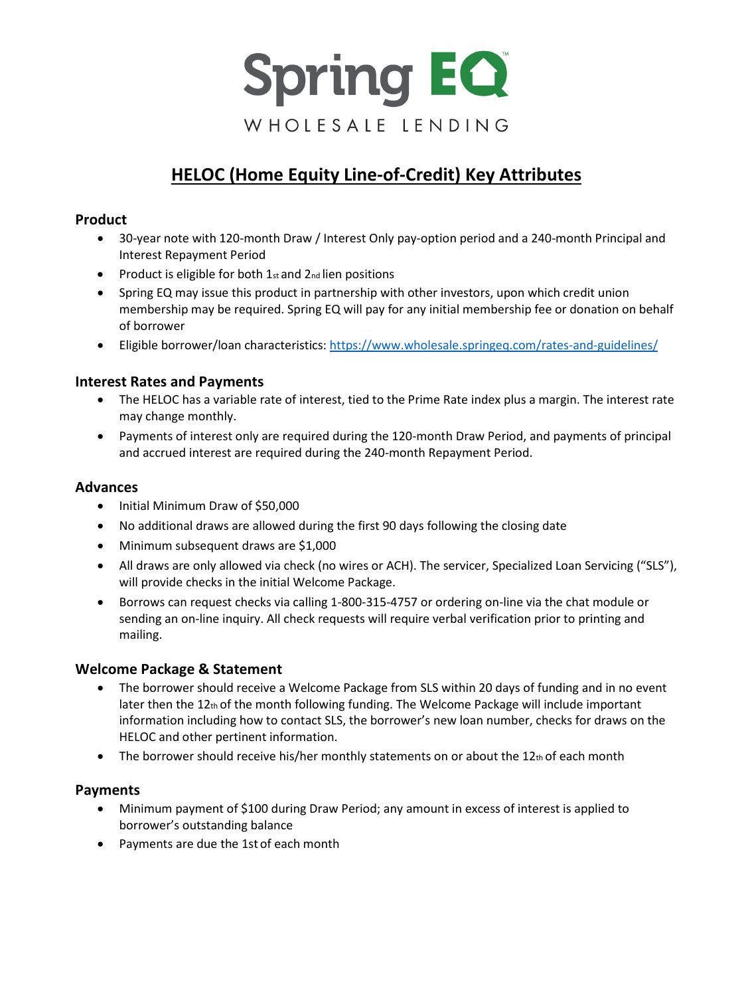

# **HELOC (Home Equity Line-of-Credit) Key Attributes**

# **Product**

- 30-year note with 120-month Draw / Interest Only pay-option period and a 240-month Principal and Interest Repayment Period
- Product is eligible for both 1st and 2nd lien positions
- Spring EQ may issue this product in partnership with other investors, upon which credit union membership may be required. Spring EQ will pay for any initial membership fee or donation on behalf of borrower
- Eligible borrower/loan characteristics[: https://www.wholesale.springeq.com/rates-and-guidelines/](https://www.wholesale.springeq.com/rates-and-guidelines/)

## **Interest Rates and Payments**

- The HELOC has a variable rate of interest, tied to the Prime Rate index plus a margin. The interest rate may change monthly.
- Payments of interest only are required during the 120-month Draw Period, and payments of principal and accrued interest are required during the 240-month Repayment Period.

## **Advances**

- Initial Minimum Draw of \$50,000
- No additional draws are allowed during the first 90 days following the closing date
- Minimum subsequent draws are \$1,000
- All draws are only allowed via check (no wires or ACH). The servicer, Specialized Loan Servicing ("SLS"), will provide checks in the initial Welcome Package.
- Borrows can request checks via calling 1-800-315-4757 or ordering on-line via the chat module or sending an on-line inquiry. All check requests will require verbal verification prior to printing and mailing.

## **Welcome Package & Statement**

- The borrower should receive a Welcome Package from SLS within 20 days of funding and in no event later then the  $12<sub>th</sub>$  of the month following funding. The Welcome Package will include important information including how to contact SLS, the borrower's new loan number, checks for draws on the HELOC and other pertinent information.
- The borrower should receive his/her monthly statements on or about the  $12<sub>th</sub>$  of each month

#### **Payments**

- Minimum payment of \$100 during Draw Period; any amount in excess of interest is applied to borrower's outstanding balance
- Payments are due the 1st of each month